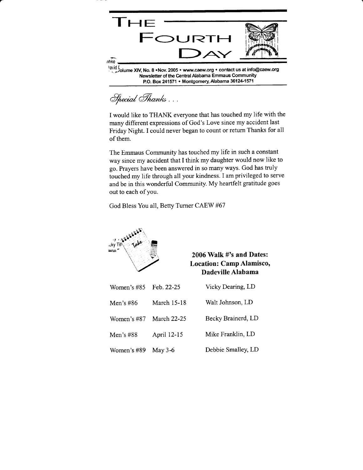

Special Thanks . . .

I would like to THANK everyone that has touched my life with the many different expressions of God's Love since my accident last Friday Night. I could never began to count or return Thanks for all of them.

The Emmaus Community has touched my life in such a constant way since my accident that I think my daughter would now like to go. Prayers have been answered in so many ways. God has truly touched my life through all your kindness. I am privileged to serve and be in this wonderful Community. My heartfelt gratitude goes out to each of you.

God Bless You all, Beffy Turner CAEW #67



2006 Walk #'s and Dates: Location: Camp Alamisco, Dadeville Alabama

| Women's $#85$ | Feb. 22-25         | Vicky Dearing, LD  |
|---------------|--------------------|--------------------|
| Men's #86     | <b>March 15-18</b> | Walt Johnson, LD   |
| Women's #87   | <b>March 22-25</b> | Becky Brainerd, LD |
| Men's $#88$   | April 12-15        | Mike Franklin, LD  |
| Women's #89   | May $3-6$          | Debbie Smalley, LD |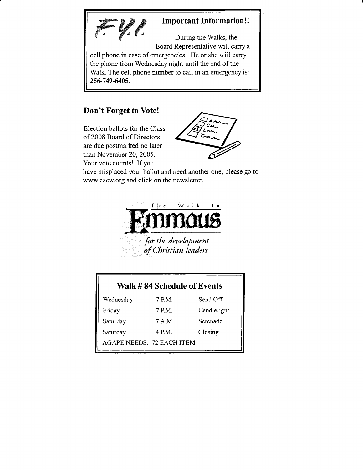

cell phone in case of emergencies. He or she will carry the phone from Wednesday night until the end of the Walk. The cell phone number to call in an emergency is: 25G749-&05.

## Don't Forget to Vote!

Election ballots for the Class of 2008 Board of Directors are due postmarked no later than November 20,2005. Your vote counts! If you



have misplaced your ballot and need another one, please go to www.caew.org and click on the newsletter.



| Walk #84 Schedule of Events |        |             |  |  |
|-----------------------------|--------|-------------|--|--|
| Wednesday                   | 7 P.M. | Send Off    |  |  |
| Friday                      | 7 P.M. | Candlelight |  |  |
| Saturday                    | 7 A.M. | Serenade    |  |  |
| Saturday                    | 4 P.M. | Closing     |  |  |
| AGAPE NEEDS: 72 EACH ITEM   |        |             |  |  |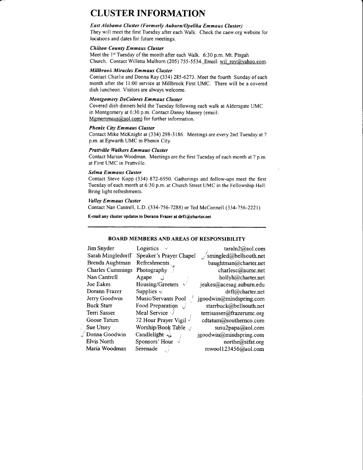## CLUSTER INFORMATION

### East Alahama Cluster (Formerly Auburn/Opelika Emmaus Cluster)

They will meet the first Tuesday after each Walk. Check the caew.org website for locations and dates for future meetings.

#### Chilton County Emmaus Cluster

Meet the 1st Tuesday of the month after each Walk. 6:30 p.m. Mt. Pisgah Church. Contact Willetta Mulhorn (205) 755-5534. Email: wil\_roy@yahoo.com.

#### Millbrook Miracles Emmaus Cluster

Contact Charlie and Donna Ray (33a) 285-6273. Meet the fourth Sunday of each month after the 11:00 service at Millbrook First UMC. There will be a covered dish luncheon. Visitors are always welcome.

## Montgomery DeColores Emmaus Cluster

Covered dish dinners held the Tuesday following each walk at Aldersgate UMC in Montgomery at 6:30 p.m. Contact Danny Massey (emaii: Mgmemmaus@aol.com) for further information.

#### Phenix City Emmaus Cluster

Contact Mike McKnight at (334) 298-3186. Meetings are every 2nd Tuesday at 7 p.m. at Epwarth UMC in Phenix City.

#### Prattville Walkers Emmaus Cluster

Contact Marian Woodman. Meetings are the first Tuesday of each month at 7 p.m. at First UMC in Prattville

#### Selma Emmaus Cluster

Contact Steve Kopp (334) 872-6950. Gatherings and follow-ups meet the first Tuesday of each month at 6:30 p.m. at Church Street UMC in the Fellowship Hall. Bring light refreshments.

#### Valley Emmaus Cluster

Contact Nan Cantrell, L.D. (334-756-7288) or Ted McConnell (334-756-2221)

E-mail any cluster updates to Dorann Frazer at drfl@charter.net

### BOARD MEMBERS AND AREAS OF RESPONSIBILITY

| Jim Snyder              | Logistics<br>$\checkmark$       | tarah2@aol.com                            |
|-------------------------|---------------------------------|-------------------------------------------|
| Sarah Mingledorff       | Speaker's Prayer Chapel         | $\sqrt{\text{smingled}(a)}$ bellsouth.net |
| Brenda Aughtman         | Refreshments                    | baughtman@charter.net                     |
| <b>Charles Cummings</b> | Photography                     | charlesc@aumc.net                         |
| Nan Cantrell            | Agape                           | hollyh@charter.net                        |
| Joe Eakes               | Housing/Greeters                | jeakes@acesag.auburn.edu                  |
| Dorann Frazer           | Supplies $\cdot$                | $drf$ l $@$ charter.net                   |
| Jerry Goodwin           | Music/Servants Pool             | jgoodwin@mindspring.com                   |
| <b>Buck Starr</b>       | Food Preparation                | starrbuck@bellsouth.net                   |
| Terri Sasser            | Meal Service $\sqrt{ }$         | terrisasser@frazerumc.org                 |
| Goose Tatum             | 72 Hour Prayer Vigil $\sqrt{ }$ | cdtatum@southernco.com                    |
| Sue Utsey               | Worship/Book Table              | susu2papa@aol.com                         |
| Donna Goodwin           | Candlelight $\leftrightarrow$   | jgoodwin@mindspring.com                   |
| Elvis North             | Sponsors' Hour                  | northe@sifat.org                          |
| Maria Woodman           | Serenade                        | mwool123456@aol.com                       |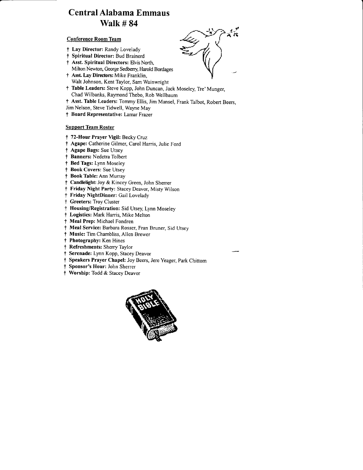# Central Alabama Emmaus Walk # 84

## Conference Room Team

- t Lay Director: Randy Lovelady
- t Spiritual Director: Bud Brainerd
- <sup>†</sup> Asst. Spiritual Directors: Elvis North, Milton Newton, George Sedberry, Harold Bordages
- † Asst. Lay Directors: Mike Franklin,
- Walt Johnson, Kent Taylor, Sam Wainwright t Table Leaders: Steve Kopp, John Duncan, Jack Moseley, Tre'Munger,
- Chad Wilbanks, Raymond Thebo, Rob Wellbaum
- t Asst. Table Leaders: Tommy Ellis, Jim Mansel, Frank Talbot, Robert Beers,
- Jim Nelson, Steve Tidwell, Wayne May
- t Board Representative: Lamar Frazer

## Support Team Roster

- † 72-Hour Prayer Vigil: Becky Cruz
- t Agape: Catherine Gilmer, Carol Harris, Julie Ford
- t Agape Bags: Sue Utsey
- t Banners: Nedetra Tolbert
- t Bed Tags: Lynn Moseley
- t Book Covers: Sue Utsey
- t Book Table: Ann Murray
- t Candlelight: Joy & Kincey Green, John Sherrer
- t Friday Night Party: Stacey Deavor, Misty Wilson
- t Friday NightDinner: Gail Lovelady
- t Greeters: Troy Cluster
- t Housing/Registration: Sid Utsey, Lynn Moseley
- t Logistics: Mark Harris, Mike Melton
- f Meal Prep: Michael Fondren
- t Meal Service: Barbara Rosser, Fran Bruner, Sid Utsey
- t Music: Tim Chambliss. Allen Brewer
- t Photography: Ken Hines
- t Refreshments: Sherry Taylor
- t Serenade: Lynn Kopp, StaceyDeavor
- t Speakers Prayer Chapel: Joy Beers, Jere Yeager, park Chittom
- t Sponsor's Hour: John Sherrer
- t Worship: Todd & Stacey Deavor